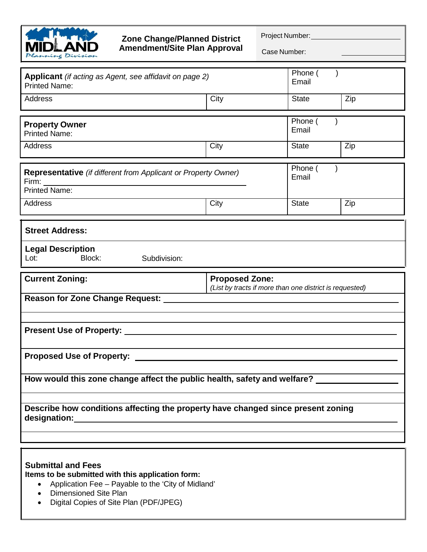

## **Zone Change/Planned District Amendment/Site Plan Approval**

Project Number:

Case Number:

| Applicant (if acting as Agent, see affidavit on page 2)<br><b>Printed Name:</b>        |                                                                                  | Phone (<br>Email |     |  |  |
|----------------------------------------------------------------------------------------|----------------------------------------------------------------------------------|------------------|-----|--|--|
| Address                                                                                | City                                                                             | <b>State</b>     | Zip |  |  |
|                                                                                        |                                                                                  | Phone (          |     |  |  |
| <b>Property Owner</b><br><b>Printed Name:</b>                                          |                                                                                  | Email            |     |  |  |
| Address                                                                                | City                                                                             | <b>State</b>     | Zip |  |  |
| Representative (if different from Applicant or Property Owner)<br><b>Printed Name:</b> |                                                                                  | Phone (<br>Email |     |  |  |
| <b>Address</b>                                                                         | City                                                                             | <b>State</b>     | Zip |  |  |
|                                                                                        |                                                                                  |                  |     |  |  |
| <b>Street Address:</b>                                                                 |                                                                                  |                  |     |  |  |
| <b>Legal Description</b><br>Block:<br>Subdivision:<br>Lot:                             |                                                                                  |                  |     |  |  |
|                                                                                        |                                                                                  |                  |     |  |  |
| <b>Current Zoning:</b>                                                                 | <b>Proposed Zone:</b><br>(List by tracts if more than one district is requested) |                  |     |  |  |
| <b>Reason for Zone Change Request:</b>                                                 |                                                                                  |                  |     |  |  |
|                                                                                        |                                                                                  |                  |     |  |  |
|                                                                                        |                                                                                  |                  |     |  |  |
| <b>Proposed Use of Property:</b>                                                       |                                                                                  |                  |     |  |  |
| How would this zone change affect the public health, safety and welfare?               |                                                                                  |                  |     |  |  |
|                                                                                        |                                                                                  |                  |     |  |  |
| Describe how conditions affecting the property have changed since present zoning       |                                                                                  |                  |     |  |  |
|                                                                                        |                                                                                  |                  |     |  |  |

## **Submittal and Fees**

**Items to be submitted with this application form:**

- Application Fee Payable to the 'City of Midland'
- Dimensioned Site Plan
- Digital Copies of Site Plan (PDF/JPEG)